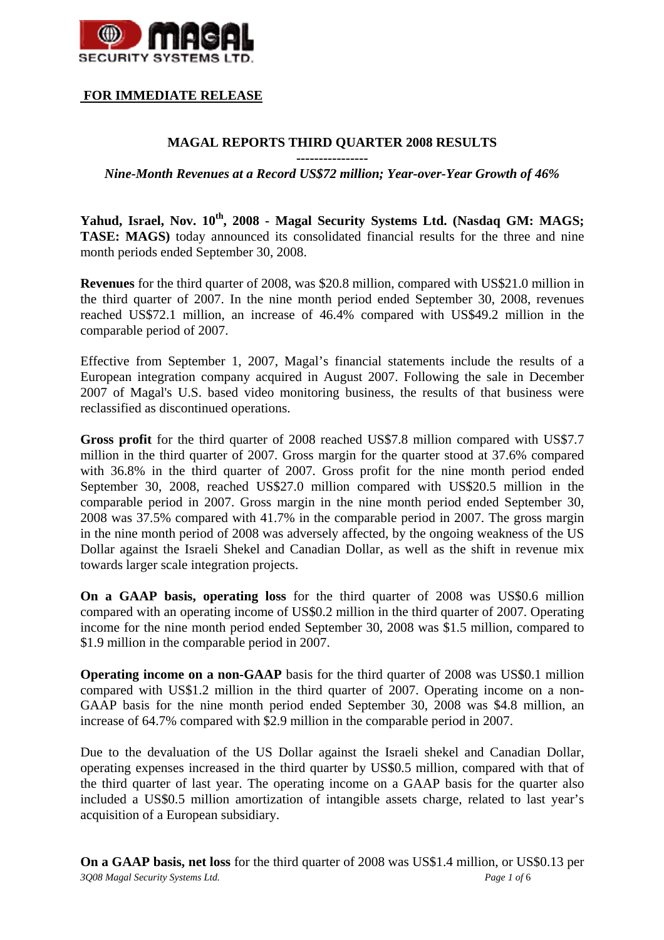

# **FOR IMMEDIATE RELEASE**

# **MAGAL REPORTS THIRD QUARTER 2008 RESULTS**

**----------------** 

#### *Nine-Month Revenues at a Record US\$72 million; Year-over-Year Growth of 46%*

**Yahud, Israel, Nov. 10th, 2008 - Magal Security Systems Ltd. (Nasdaq GM: MAGS; TASE: MAGS)** today announced its consolidated financial results for the three and nine month periods ended September 30, 2008.

**Revenues** for the third quarter of 2008, was \$20.8 million, compared with US\$21.0 million in the third quarter of 2007. In the nine month period ended September 30, 2008, revenues reached US\$72.1 million, an increase of 46.4% compared with US\$49.2 million in the comparable period of 2007.

Effective from September 1, 2007, Magal's financial statements include the results of a European integration company acquired in August 2007. Following the sale in December 2007 of Magal's U.S. based video monitoring business, the results of that business were reclassified as discontinued operations.

**Gross profit** for the third quarter of 2008 reached US\$7.8 million compared with US\$7.7 million in the third quarter of 2007. Gross margin for the quarter stood at 37.6% compared with 36.8% in the third quarter of 2007. Gross profit for the nine month period ended September 30, 2008, reached US\$27.0 million compared with US\$20.5 million in the comparable period in 2007. Gross margin in the nine month period ended September 30, 2008 was 37.5% compared with 41.7% in the comparable period in 2007. The gross margin in the nine month period of 2008 was adversely affected, by the ongoing weakness of the US Dollar against the Israeli Shekel and Canadian Dollar, as well as the shift in revenue mix towards larger scale integration projects.

**On a GAAP basis, operating loss** for the third quarter of 2008 was US\$0.6 million compared with an operating income of US\$0.2 million in the third quarter of 2007. Operating income for the nine month period ended September 30, 2008 was \$1.5 million, compared to \$1.9 million in the comparable period in 2007.

**Operating income on a non-GAAP** basis for the third quarter of 2008 was US\$0.1 million compared with US\$1.2 million in the third quarter of 2007. Operating income on a non-GAAP basis for the nine month period ended September 30, 2008 was \$4.8 million, an increase of 64.7% compared with \$2.9 million in the comparable period in 2007.

Due to the devaluation of the US Dollar against the Israeli shekel and Canadian Dollar, operating expenses increased in the third quarter by US\$0.5 million, compared with that of the third quarter of last year. The operating income on a GAAP basis for the quarter also included a US\$0.5 million amortization of intangible assets charge, related to last year's acquisition of a European subsidiary.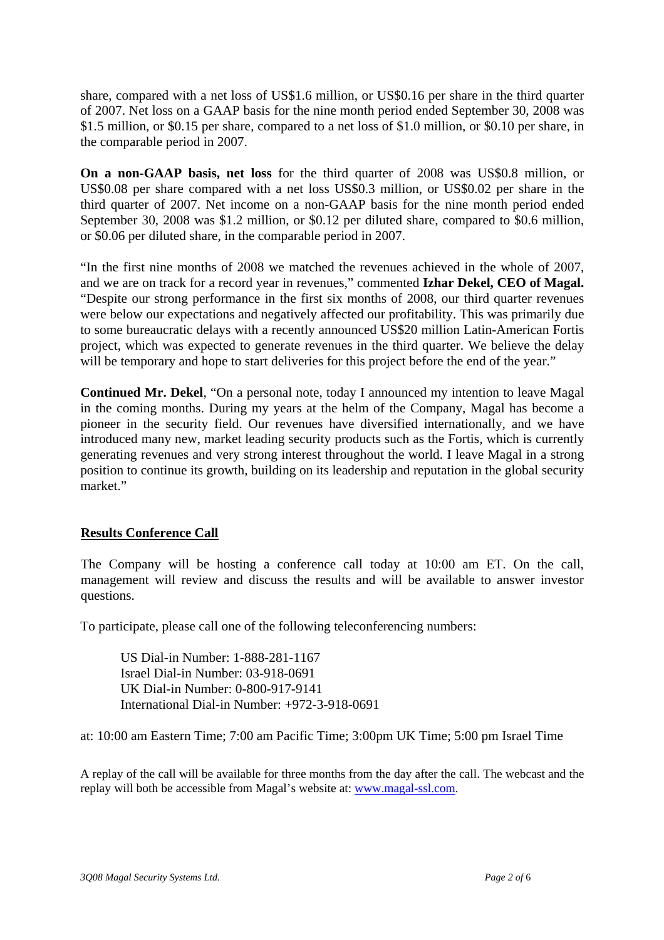share, compared with a net loss of US\$1.6 million, or US\$0.16 per share in the third quarter of 2007. Net loss on a GAAP basis for the nine month period ended September 30, 2008 was \$1.5 million, or \$0.15 per share, compared to a net loss of \$1.0 million, or \$0.10 per share, in the comparable period in 2007.

**On a non-GAAP basis, net loss** for the third quarter of 2008 was US\$0.8 million, or US\$0.08 per share compared with a net loss US\$0.3 million, or US\$0.02 per share in the third quarter of 2007. Net income on a non-GAAP basis for the nine month period ended September 30, 2008 was \$1.2 million, or \$0.12 per diluted share, compared to \$0.6 million, or \$0.06 per diluted share, in the comparable period in 2007.

"In the first nine months of 2008 we matched the revenues achieved in the whole of 2007, and we are on track for a record year in revenues," commented **Izhar Dekel, CEO of Magal.** "Despite our strong performance in the first six months of 2008, our third quarter revenues were below our expectations and negatively affected our profitability. This was primarily due to some bureaucratic delays with a recently announced US\$20 million Latin-American Fortis project, which was expected to generate revenues in the third quarter. We believe the delay will be temporary and hope to start deliveries for this project before the end of the year."

**Continued Mr. Dekel**, "On a personal note, today I announced my intention to leave Magal in the coming months. During my years at the helm of the Company, Magal has become a pioneer in the security field. Our revenues have diversified internationally, and we have introduced many new, market leading security products such as the Fortis, which is currently generating revenues and very strong interest throughout the world. I leave Magal in a strong position to continue its growth, building on its leadership and reputation in the global security market."

# **Results Conference Call**

The Company will be hosting a conference call today at 10:00 am ET. On the call, management will review and discuss the results and will be available to answer investor questions.

To participate, please call one of the following teleconferencing numbers:

US Dial-in Number: 1-888-281-1167 Israel Dial-in Number: 03-918-0691 UK Dial-in Number: 0-800-917-9141 International Dial-in Number: +972-3-918-0691

at: 10:00 am Eastern Time; 7:00 am Pacific Time; 3:00pm UK Time; 5:00 pm Israel Time

A replay of the call will be available for three months from the day after the call. The webcast and the replay will both be accessible from Magal's website at: www.magal-ssl.com.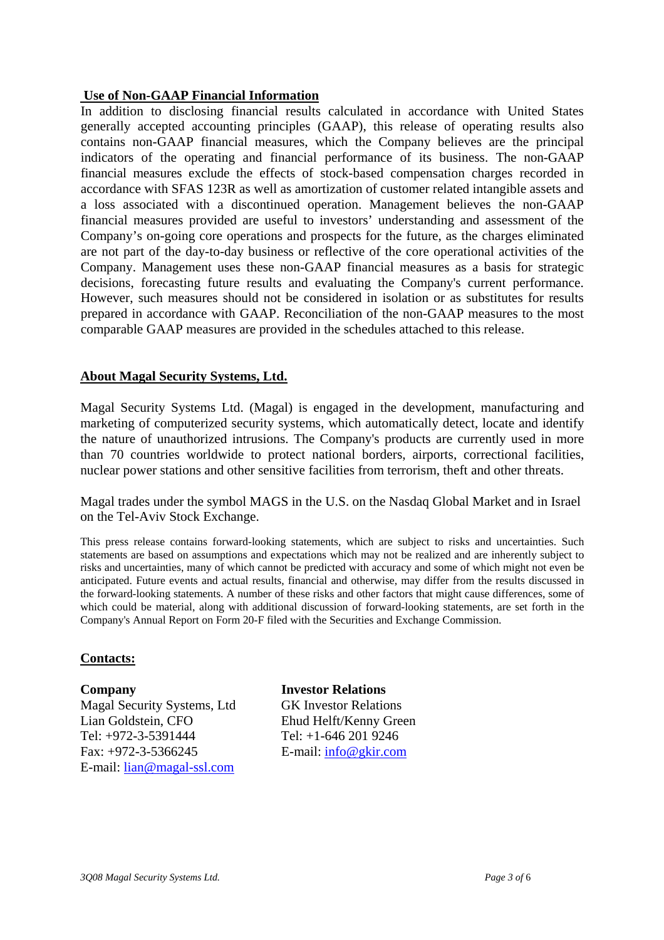#### **Use of Non-GAAP Financial Information**

In addition to disclosing financial results calculated in accordance with United States generally accepted accounting principles (GAAP), this release of operating results also contains non-GAAP financial measures, which the Company believes are the principal indicators of the operating and financial performance of its business. The non-GAAP financial measures exclude the effects of stock-based compensation charges recorded in accordance with SFAS 123R as well as amortization of customer related intangible assets and a loss associated with a discontinued operation. Management believes the non-GAAP financial measures provided are useful to investors' understanding and assessment of the Company's on-going core operations and prospects for the future, as the charges eliminated are not part of the day-to-day business or reflective of the core operational activities of the Company. Management uses these non-GAAP financial measures as a basis for strategic decisions, forecasting future results and evaluating the Company's current performance. However, such measures should not be considered in isolation or as substitutes for results prepared in accordance with GAAP. Reconciliation of the non-GAAP measures to the most comparable GAAP measures are provided in the schedules attached to this release.

# **About Magal Security Systems, Ltd.**

Magal Security Systems Ltd. (Magal) is engaged in the development, manufacturing and marketing of computerized security systems, which automatically detect, locate and identify the nature of unauthorized intrusions. The Company's products are currently used in more than 70 countries worldwide to protect national borders, airports, correctional facilities, nuclear power stations and other sensitive facilities from terrorism, theft and other threats.

Magal trades under the symbol MAGS in the U.S. on the Nasdaq Global Market and in Israel on the Tel-Aviv Stock Exchange.

This press release contains forward-looking statements, which are subject to risks and uncertainties. Such statements are based on assumptions and expectations which may not be realized and are inherently subject to risks and uncertainties, many of which cannot be predicted with accuracy and some of which might not even be anticipated. Future events and actual results, financial and otherwise, may differ from the results discussed in the forward-looking statements. A number of these risks and other factors that might cause differences, some of which could be material, along with additional discussion of forward-looking statements, are set forth in the Company's Annual Report on Form 20-F filed with the Securities and Exchange Commission.

# **Contacts:**

**Company Investor Relations**  Magal Security Systems, Ltd GK Investor Relations Lian Goldstein, CFO Ehud Helft/Kenny Green Tel: +972-3-5391444 Tel: +1-646 201 9246 Fax: +972-3-5366245 E-mail: info@gkir.com E-mail: lian@magal-ssl.com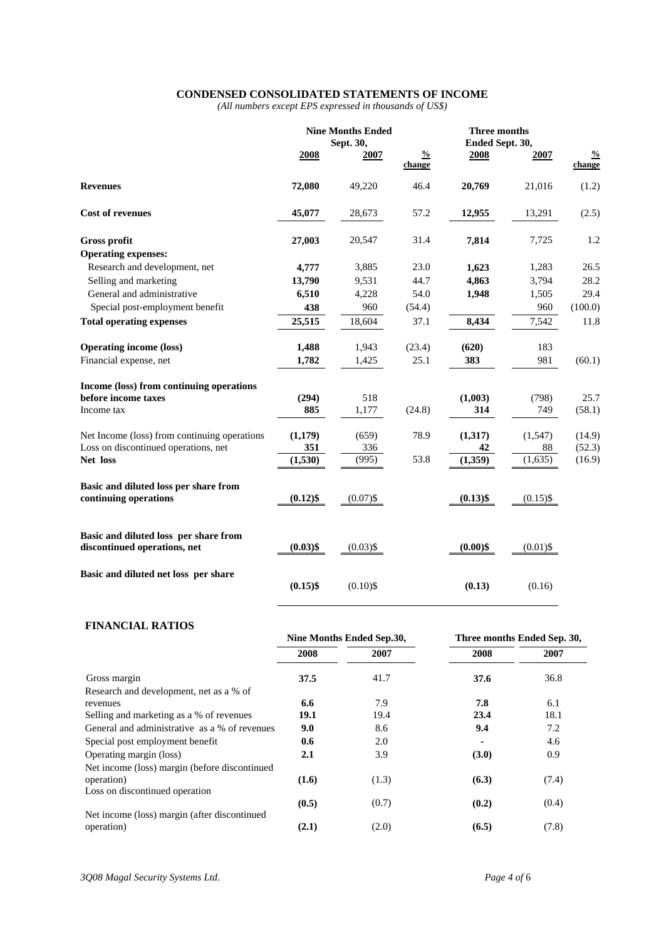#### **CONDENSED CONSOLIDATED STATEMENTS OF INCOME**

*(All numbers except EPS expressed in thousands of US\$)* 

|                                              | <b>Nine Months Ended</b><br>Sept. 30, |             |                         | Three months<br>Ended Sept. 30, |             |                         |
|----------------------------------------------|---------------------------------------|-------------|-------------------------|---------------------------------|-------------|-------------------------|
|                                              | 2008                                  | 2007        | $\frac{0}{2}$<br>change | 2008                            | 2007        | $\frac{0}{0}$<br>change |
| <b>Revenues</b>                              | 72,080                                | 49,220      | 46.4                    | 20,769                          | 21,016      | (1.2)                   |
| <b>Cost of revenues</b>                      | 45,077                                | 28,673      | 57.2                    | 12,955                          | 13,291      | (2.5)                   |
| <b>Gross profit</b>                          | 27,003                                | 20,547      | 31.4                    | 7,814                           | 7,725       | 1.2                     |
| <b>Operating expenses:</b>                   |                                       |             |                         |                                 |             |                         |
| Research and development, net                | 4,777                                 | 3,885       | 23.0                    | 1,623                           | 1,283       | 26.5                    |
| Selling and marketing                        | 13,790                                | 9,531       | 44.7                    | 4,863                           | 3,794       | 28.2                    |
| General and administrative                   | 6,510                                 | 4,228       | 54.0                    | 1,948                           | 1,505       | 29.4                    |
| Special post-employment benefit              | 438                                   | 960         | (54.4)                  |                                 | 960         | (100.0)                 |
| <b>Total operating expenses</b>              | 25,515                                | 18,604      | 37.1                    | 8,434                           | 7,542       | 11.8                    |
| <b>Operating income (loss)</b>               | 1,488                                 | 1,943       | (23.4)                  | (620)                           | 183         |                         |
| Financial expense, net                       | 1,782                                 | 1,425       | 25.1                    | 383                             | 981         | (60.1)                  |
| Income (loss) from continuing operations     |                                       |             |                         |                                 |             |                         |
| before income taxes                          | (294)                                 | 518         |                         | (1,003)                         | (798)       | 25.7                    |
| Income tax                                   | 885                                   | 1,177       | (24.8)                  | 314                             | 749         | (58.1)                  |
| Net Income (loss) from continuing operations | (1,179)                               | (659)       | 78.9                    | (1,317)                         | (1,547)     | (14.9)                  |
| Loss on discontinued operations, net         | 351                                   | 336         |                         | 42                              | 88          | (52.3)                  |
| Net loss                                     | (1,530)                               | (995)       | 53.8                    | (1,359)                         | (1,635)     | (16.9)                  |
| Basic and diluted loss per share from        |                                       |             |                         |                                 |             |                         |
| continuing operations                        | $(0.12)$ \$                           | $(0.07)$ \$ |                         | $(0.13)$ \$                     | $(0.15)$ \$ |                         |
| Basic and diluted loss per share from        |                                       |             |                         |                                 |             |                         |
| discontinued operations, net                 | $(0.03)$ \$                           | $(0.03)$ \$ |                         | $(0.00)$ \$                     | $(0.01)$ \$ |                         |
| Basic and diluted net loss per share         |                                       |             |                         |                                 |             |                         |
|                                              | $(0.15)$ \$                           | $(0.10)$ \$ |                         | (0.13)                          | (0.16)      |                         |

#### **FINANCIAL RATIOS**

|                                               | Nine Months Ended Sep.30, |       | Three months Ended Sep. 30, |       |
|-----------------------------------------------|---------------------------|-------|-----------------------------|-------|
|                                               | 2008                      | 2007  | 2008                        | 2007  |
| Gross margin                                  | 37.5                      | 41.7  | 37.6                        | 36.8  |
| Research and development, net as a % of       |                           |       |                             |       |
| revenues                                      | 6.6                       | 7.9   | 7.8                         | 6.1   |
| Selling and marketing as a % of revenues      | 19.1                      | 19.4  | 23.4                        | 18.1  |
| General and administrative as a % of revenues | 9.0                       | 8.6   | 9.4                         | 7.2   |
| Special post employment benefit               | 0.6                       | 2.0   |                             | 4.6   |
| Operating margin (loss)                       | 2.1                       | 3.9   | (3.0)                       | 0.9   |
| Net income (loss) margin (before discontinued |                           |       |                             |       |
| operation)                                    | (1.6)                     | (1.3) | (6.3)                       | (7.4) |
| Loss on discontinued operation                |                           |       |                             |       |
|                                               | (0.5)                     | (0.7) | (0.2)                       | (0.4) |
| Net income (loss) margin (after discontinued  |                           |       |                             |       |
| operation)                                    | (2.1)                     | (2.0) | (6.5)                       | (7.8) |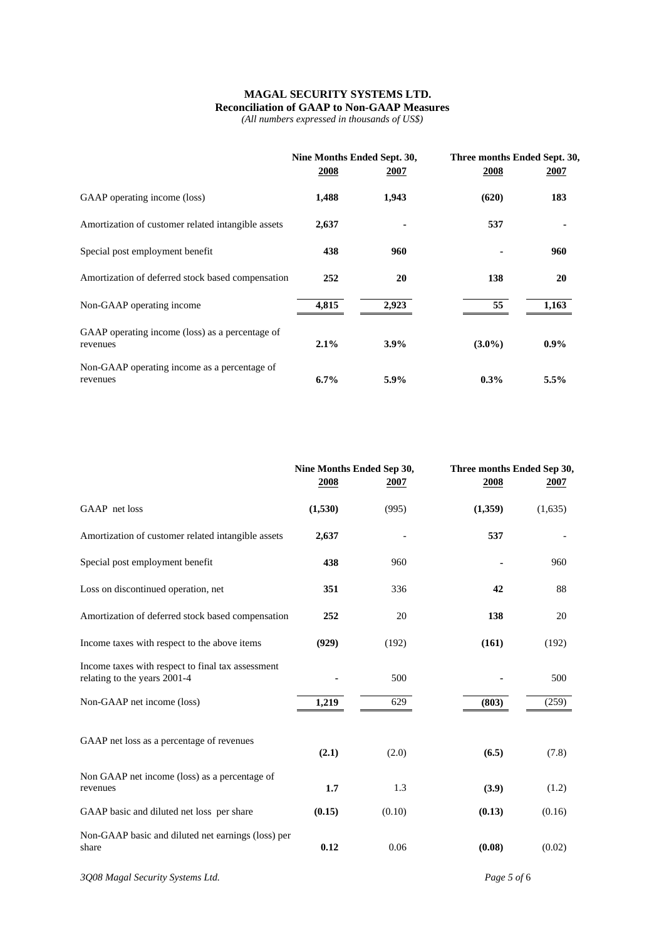### **MAGAL SECURITY SYSTEMS LTD. Reconciliation of GAAP to Non-GAAP Measures**

*(All numbers expressed in thousands of US\$)* 

|                                                             | Nine Months Ended Sept. 30, |         | Three months Ended Sept. 30, |         |  |
|-------------------------------------------------------------|-----------------------------|---------|------------------------------|---------|--|
|                                                             | 2008                        | 2007    | 2008                         | 2007    |  |
| GAAP operating income (loss)                                | 1,488                       | 1,943   | (620)                        | 183     |  |
| Amortization of customer related intangible assets          | 2,637                       |         | 537                          |         |  |
| Special post employment benefit                             | 438                         | 960     |                              | 960     |  |
| Amortization of deferred stock based compensation           | 252                         | 20      | 138                          | 20      |  |
| Non-GAAP operating income                                   | 4,815                       | 2,923   | 55                           | 1,163   |  |
| GAAP operating income (loss) as a percentage of<br>revenues | $2.1\%$                     | 3.9%    | $(3.0\%)$                    | $0.9\%$ |  |
| Non-GAAP operating income as a percentage of<br>revenues    | $6.7\%$                     | $5.9\%$ | $0.3\%$                      | 5.5%    |  |

|                                                                                   | Nine Months Ended Sep 30,<br>2008 | 2007   | Three months Ended Sep 30,<br>2008 | 2007    |
|-----------------------------------------------------------------------------------|-----------------------------------|--------|------------------------------------|---------|
| GAAP net loss                                                                     | (1,530)                           | (995)  | (1,359)                            | (1,635) |
| Amortization of customer related intangible assets                                | 2,637                             |        | 537                                |         |
| Special post employment benefit                                                   | 438                               | 960    |                                    | 960     |
| Loss on discontinued operation, net                                               | 351                               | 336    | 42                                 | 88      |
| Amortization of deferred stock based compensation                                 | 252                               | 20     | 138                                | 20      |
| Income taxes with respect to the above items                                      | (929)                             | (192)  | (161)                              | (192)   |
| Income taxes with respect to final tax assessment<br>relating to the years 2001-4 |                                   | 500    |                                    | 500     |
| Non-GAAP net income (loss)                                                        | 1,219                             | 629    | (803)                              | (259)   |
| GAAP net loss as a percentage of revenues                                         | (2.1)                             | (2.0)  | (6.5)                              | (7.8)   |
| Non GAAP net income (loss) as a percentage of<br>revenues                         | 1.7                               | 1.3    | (3.9)                              | (1.2)   |
| GAAP basic and diluted net loss per share                                         | (0.15)                            | (0.10) | (0.13)                             | (0.16)  |
| Non-GAAP basic and diluted net earnings (loss) per<br>share                       | 0.12                              | 0.06   | (0.08)                             | (0.02)  |